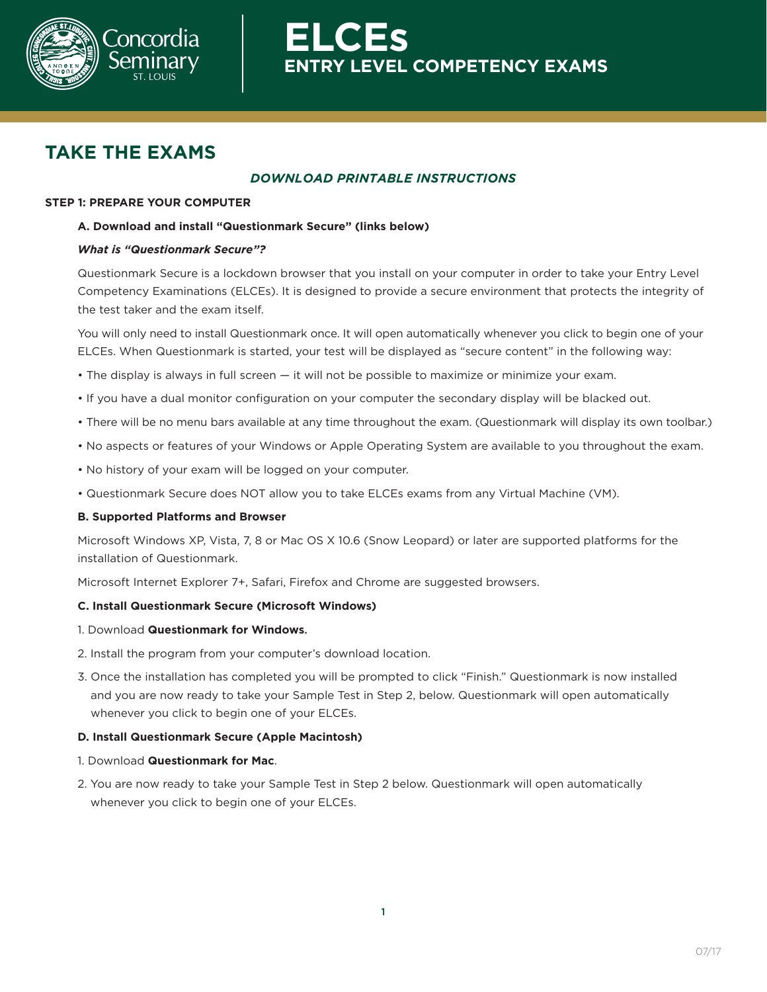

**ELCEs EXTRY LEVEL COMPETENCY EXAMS** 

# **TAKE THE EXAMS**

# *DOWNLOAD PRINTABLE INSTRUCTIONS*

## **STEP 1: PREPARE YOUR COMPUTER**

## **A. Download and install "Questionmark Secure" (links below)**

## *What is "Questionmark Secure"?*

 Questionmark Secure is a lockdown browser that you install on your computer in order to take your Entry Level Competency Examinations (ELCEs). It is designed to provide a secure environment that protects the integrity of the test taker and the exam itself.

 You will only need to install Questionmark once. It will open automatically whenever you click to begin one of your ELCEs. When Questionmark is started, your test will be displayed as "secure content" in the following way:

- The display is always in full screen it will not be possible to maximize or minimize your exam.
- If you have a dual monitor configuration on your computer the secondary display will be blacked out.
- There will be no menu bars available at any time throughout the exam. (Questionmark will display its own toolbar.)
- No aspects or features of your Windows or Apple Operating System are available to you throughout the exam.
- No history of your exam will be logged on your computer.
- Questionmark Secure does NOT allow you to take ELCEs exams from any Virtual Machine (VM).

## **B. Supported Platforms and Browser**

 Microsoft Windows XP, Vista, 7, 8 or Mac OS X 10.6 (Snow Leopard) or later are supported platforms for the installation of Questionmark.

Microsoft Internet Explorer 7+, Safari, Firefox and Chrome are suggested browsers.

## **C. Install Questionmark Secure (Microsoft Windows)**

- 1. Download **Questionmark for Windows**.
- 2. Install the program from your computer's download location.
- 3. Once the installation has completed you will be prompted to click "Finish." Questionmark is now installed and you are now ready to take your Sample Test in Step 2, below. Questionmark will open automatically whenever you click to begin one of your ELCEs.

## **D. Install Questionmark Secure (Apple Macintosh)**

#### 1. Download **Questionmark for Mac**.

2. You are now ready to take your Sample Test in Step 2 below. Questionmark will open automatically whenever you click to begin one of your ELCEs.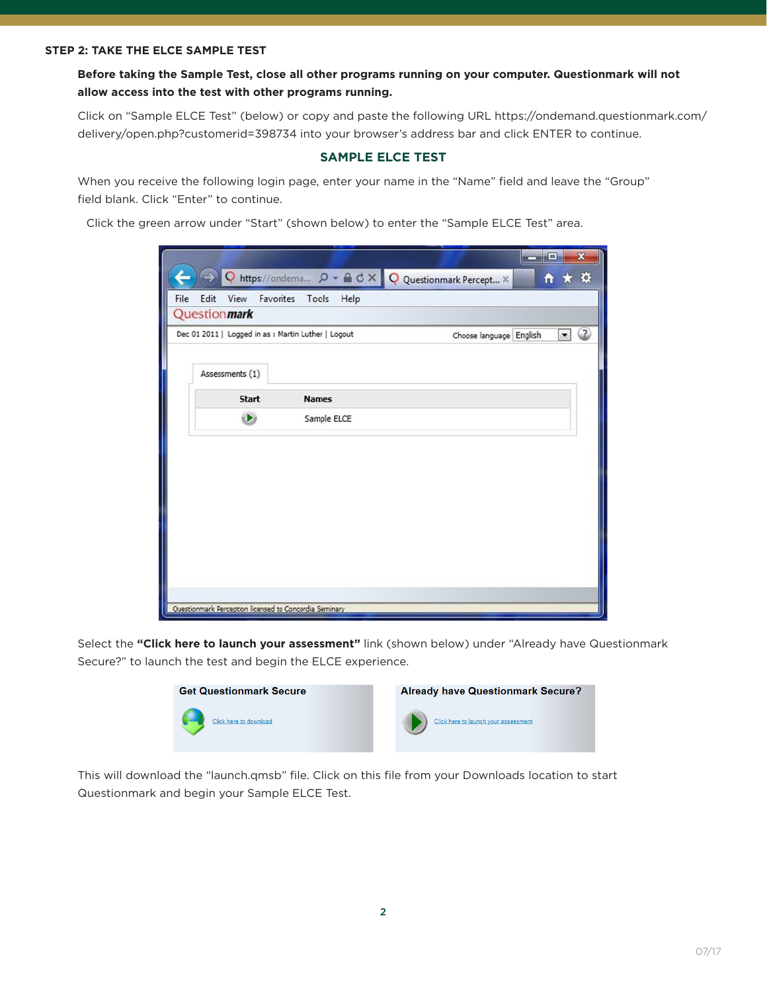**Before taking the Sample Test, close all other programs running on your computer. Questionmark will not allow access into the test with other programs running.**

 Click on "Sample ELCE Test" (below) or copy and paste the following URL https://ondemand.questionmark.com/ delivery/open.php?customerid=398734 into your browser's address bar and click ENTER to continue.

## **SAMPLE ELCE TEST**

 When you receive the following login page, enter your name in the "Name" field and leave the "Group" field blank. Click "Enter" to continue.

Click the green arrow under "Start" (shown below) to enter the "Sample ELCE Test" area.

| O                                                      |                         | https://ondema Q - A C X Q Questionmark Percept X | o<br>$\mathbf{H}$ $\star$ $\alpha$ |  |  |  |  |  |  |
|--------------------------------------------------------|-------------------------|---------------------------------------------------|------------------------------------|--|--|--|--|--|--|
| Edit<br>File<br>View                                   | Favorites Tools<br>Help |                                                   |                                    |  |  |  |  |  |  |
| Questionmark                                           |                         |                                                   |                                    |  |  |  |  |  |  |
| Dec 01 2011   Logged in as : Martin Luther   Logout    |                         | Choose language English                           | Œ<br>$\bullet$                     |  |  |  |  |  |  |
| Assessments (1)                                        |                         |                                                   |                                    |  |  |  |  |  |  |
| Start                                                  | <b>Names</b>            |                                                   |                                    |  |  |  |  |  |  |
| $\bullet$                                              | Sample ELCE             |                                                   |                                    |  |  |  |  |  |  |
| $\overline{\phantom{a}}$                               |                         |                                                   |                                    |  |  |  |  |  |  |
| Questionmark Perception licensed to Concordia Seminary |                         |                                                   |                                    |  |  |  |  |  |  |
|                                                        |                         |                                                   |                                    |  |  |  |  |  |  |

Select the **"Click here to launch your assessment"** link (shown below) under "Already have Questionmark Secure?" to launch the test and begin the ELCE experience.



This will download the "launch.qmsb" file. Click on this file from your Downloads location to start Questionmark and begin your Sample ELCE Test.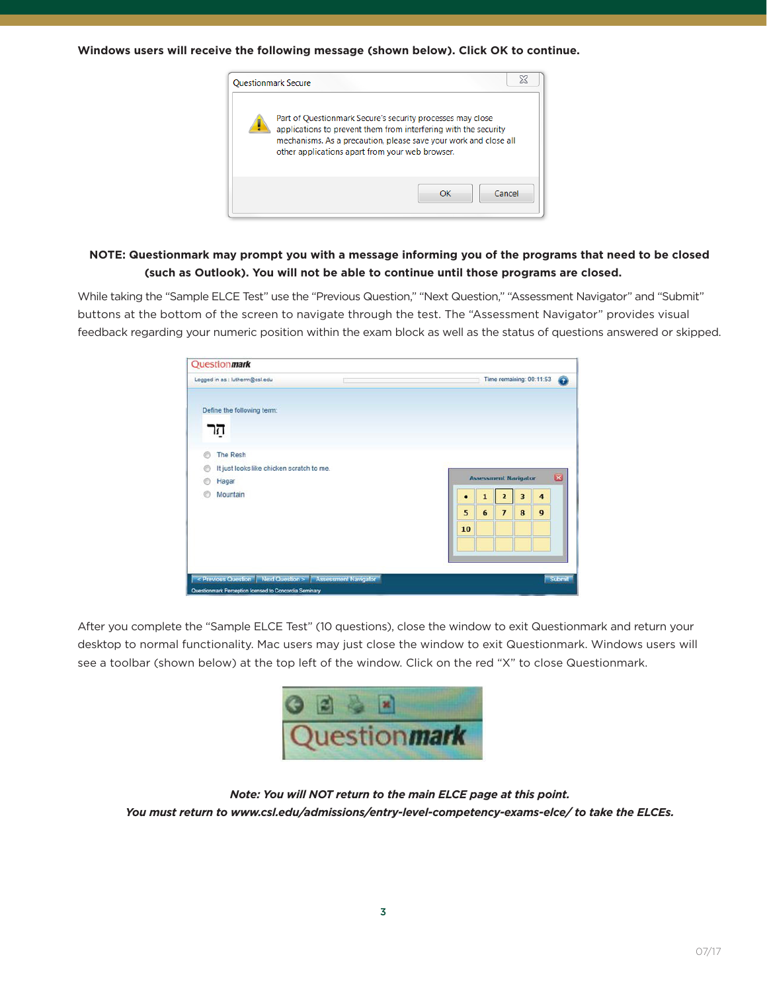**Windows users will receive the following message (shown below). Click OK to continue.**



## **NOTE: Questionmark may prompt you with a message informing you of the programs that need to be closed (such as Outlook). You will not be able to continue until those programs are closed.**

 While taking the "Sample ELCE Test" use the "Previous Question," "Next Question," "Assessment Navigator" and "Submit" buttons at the bottom of the screen to navigate through the test. The "Assessment Navigator" provides visual feedback regarding your numeric position within the exam block as well as the status of questions answered or skipped.

|         | Logged in as : lutherm@csl.edu                               |  |                                                        |                |                | Time remaining: 00:11:53 |                | $\bullet$ |
|---------|--------------------------------------------------------------|--|--------------------------------------------------------|----------------|----------------|--------------------------|----------------|-----------|
|         | Define the following term:<br>הר                             |  |                                                        |                |                |                          |                |           |
| $\odot$ | <b>The Resh</b><br>It just looks like chicken scratch to me. |  |                                                        |                |                |                          |                |           |
|         | Hagar                                                        |  | $\overline{\mathbf{z}}$<br><b>Assessment Navigator</b> |                |                |                          |                |           |
|         | Mountain                                                     |  |                                                        | $\mathbf{1}$   | $\overline{2}$ | $\overline{\mathbf{3}}$  | $\overline{4}$ |           |
|         |                                                              |  | 5                                                      | $6\phantom{1}$ | $\overline{ }$ | 8                        | 9              |           |
|         |                                                              |  | 10                                                     |                |                |                          |                |           |
|         |                                                              |  |                                                        |                |                |                          |                |           |
|         |                                                              |  |                                                        |                |                |                          |                |           |

 After you complete the "Sample ELCE Test" (10 questions), close the window to exit Questionmark and return your desktop to normal functionality. Mac users may just close the window to exit Questionmark. Windows users will see a toolbar (shown below) at the top left of the window. Click on the red "X" to close Questionmark.



*Note: You will NOT return to the main ELCE page at this point. You must return to www.csl.edu/admissions/entry-level-competency-exams-elce/ to take the ELCEs.*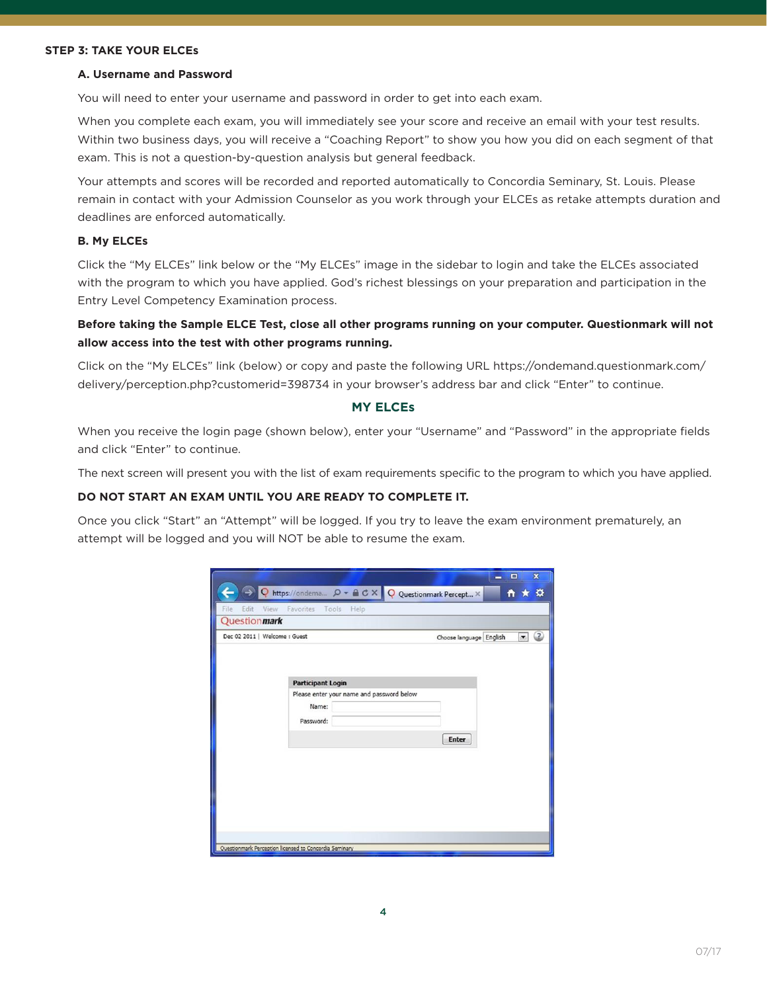#### **STEP 3: TAKE YOUR ELCEs**

#### **A. Username and Password**

You will need to enter your username and password in order to get into each exam.

 When you complete each exam, you will immediately see your score and receive an email with your test results. Within two business days, you will receive a "Coaching Report" to show you how you did on each segment of that exam. This is not a question-by-question analysis but general feedback.

 Your attempts and scores will be recorded and reported automatically to Concordia Seminary, St. Louis. Please remain in contact with your Admission Counselor as you work through your ELCEs as retake attempts duration and deadlines are enforced automatically.

#### **B. My ELCEs**

 Click the "My ELCEs" link below or the "My ELCEs" image in the sidebar to login and take the ELCEs associated with the program to which you have applied. God's richest blessings on your preparation and participation in the Entry Level Competency Examination process.

 **Before taking the Sample ELCE Test, close all other programs running on your computer. Questionmark will not allow access into the test with other programs running.**

 Click on the "My ELCEs" link (below) or copy and paste the following URL https://ondemand.questionmark.com/ delivery/perception.php?customerid=398734 in your browser's address bar and click "Enter" to continue.

#### **MY ELCEs**

 When you receive the login page (shown below), enter your "Username" and "Password" in the appropriate fields and click "Enter" to continue.

The next screen will present you with the list of exam requirements specific to the program to which you have applied.

## **DO NOT START AN EXAM UNTIL YOU ARE READY TO COMPLETE IT.**

Once you click "Start" an "Attempt" will be logged. If you try to leave the exam environment prematurely, an attempt will be logged and you will NOT be able to resume the exam.

|                               |                                                        |                                                     | $\mathbf{x}$<br>$\Box$<br>- |
|-------------------------------|--------------------------------------------------------|-----------------------------------------------------|-----------------------------|
| $\rightarrow$                 |                                                        | Q https://ondema Q - A C X Q Questionmark Percept X | <b>n ★ ☆</b>                |
| File                          | Edit View Favorites Tools Help                         |                                                     |                             |
| Questionmark                  |                                                        |                                                     |                             |
| Dec 02 2011   Welcome : Guest |                                                        | Choose language English                             | $\circ$<br>$\mathbf{v}$     |
|                               |                                                        |                                                     |                             |
|                               |                                                        |                                                     |                             |
|                               | <b>Participant Login</b>                               |                                                     |                             |
|                               | Please enter your name and password below              |                                                     |                             |
|                               | Name:                                                  |                                                     |                             |
|                               | Password:                                              |                                                     |                             |
|                               |                                                        | Enter                                               |                             |
|                               |                                                        |                                                     |                             |
|                               |                                                        |                                                     |                             |
|                               |                                                        |                                                     |                             |
|                               |                                                        |                                                     |                             |
|                               |                                                        |                                                     |                             |
|                               |                                                        |                                                     |                             |
|                               |                                                        |                                                     |                             |
|                               | Questionmark Perception licensed to Concordia Seminary |                                                     |                             |